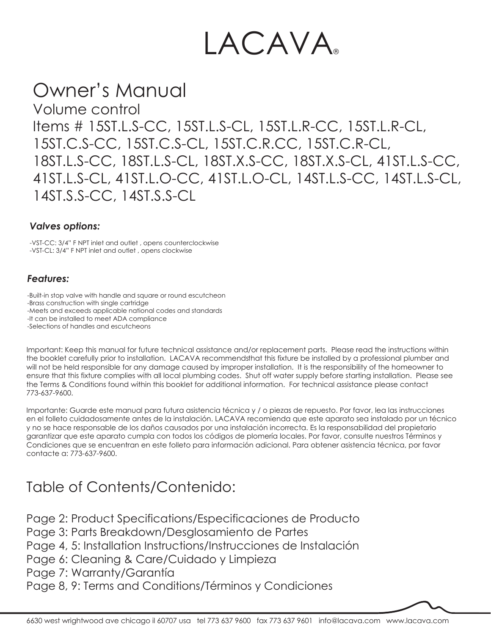# LACAVA

## Owner's Manual

Volume control Items # 15ST.L.S-CC, 15ST.L.S-CL, 15ST.L.R-CC, 15ST.L.R-CL, 15ST.C.S-CC, 15ST.C.S-CL, 15ST.C.R.CC, 15ST.C.R-CL, 18ST.L.S-CC, 18ST.L.S-CL, 18ST.X.S-CC, 18ST.X.S-CL, 41ST.L.S-CC, 41ST.L.S-CL, 41ST.L.O-CC, 41ST.L.O-CL, 14ST.L.S-CC, 14ST.L.S-CL, 14ST.S.S-CC, 14ST.S.S-CL

#### *Valves options:*

-VST-CC: 3/4" F NPT inlet and outlet , opens counterclockwise -VST-CL: 3/4" F NPT inlet and outlet , opens clockwise

#### *Features:*

-Built-in stop valve with handle and square or round escutcheon -Brass construction with single cartridge -Meets and exceeds applicable national codes and standards -It can be installed to meet ADA compliance -Selections of handles and escutcheons

Important: Keep this manual for future technical assistance and/or replacement parts. Please read the instructions within the booklet carefully prior to installation. LACAVA recommends that this fixture be installed by a professional plumber and will not be held responsible for any damage caused by improper installation. It is the responsibility of the homeowner to ensure that this fixture complies with all local plumbing codes. Shut off water supply before starting installation. Please see the Terms & Conditions found within this booklet for additional information. For technical assistance please contact 773-637-9600.

Importante: Guarde este manual para futura asistencia técnica y / o piezas de repuesto. Por favor, lea las instrucciones en el folleto cuidadosamente antes de la instalación. LACAVA recomienda que este aparato sea instalado por un técnico y no se hace responsable de los daños causados por una instalación incorrecta. Es la responsabilidad del propietario garantizar que este aparato cumpla con todos los códigos de plomería locales. Por favor, consulte nuestros Términos y Condiciones que se encuentran en este folleto para información adicional. Para obtener asistencia técnica, por favor contacte a: 773-637-9600.

### Table of Contents/Contenido:

Page 2: Product Specifications/Especificaciones de Producto

Page 3: Parts Breakdown/Desglosamiento de Partes

Page 4, 5: Installation Instructions/Instrucciones de Instalación

Page 6: Cleaning & Care/Cuidado y Limpieza

Page 7: Warranty/Garantía

Page 8, 9: Terms and Conditions/Términos y Condiciones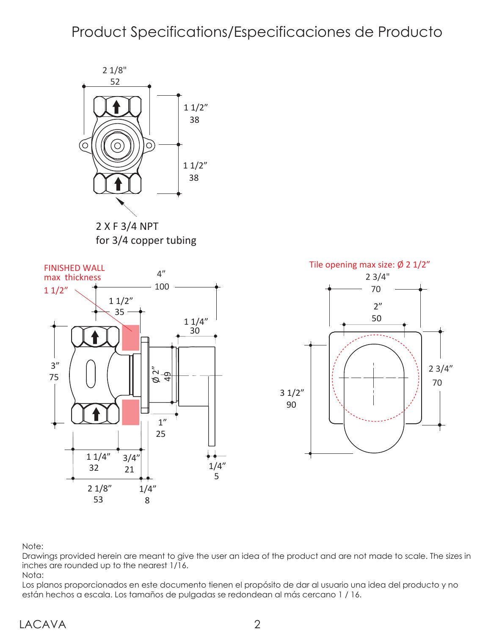### Product Specifications/Especificaciones de Producto





Note:

Drawings provided herein are meant to give the user an idea of the product and are not made to scale. The sizes in inches are rounded up to the nearest 1/16.

Nota:

Los planos proporcionados en este documento tienen el propósito de dar al usuario una idea del producto y no están hechos a escala. Los tamaños de pulgadas se redondean al más cercano 1 / 16.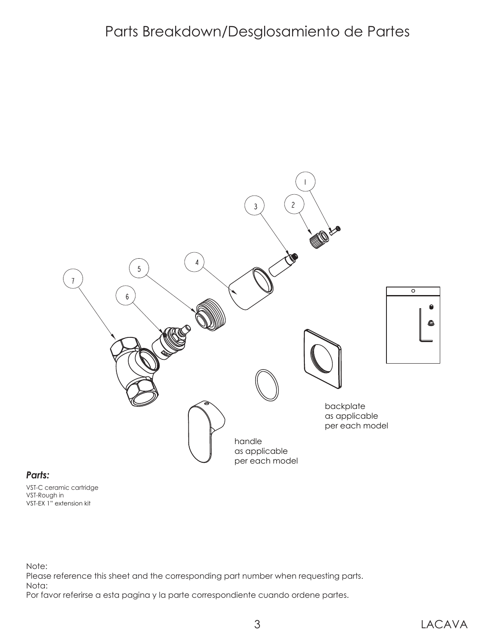### Parts Breakdown/Desglosamiento de Partes



#### *Parts:*

VST-C ceramic cartridge VST-Rough in VST-EX 1" extension kit

Note:

Please reference this sheet and the corresponding part number when requesting parts.

Nota:

Por favor referirse a esta pagina y la parte correspondiente cuando ordene partes.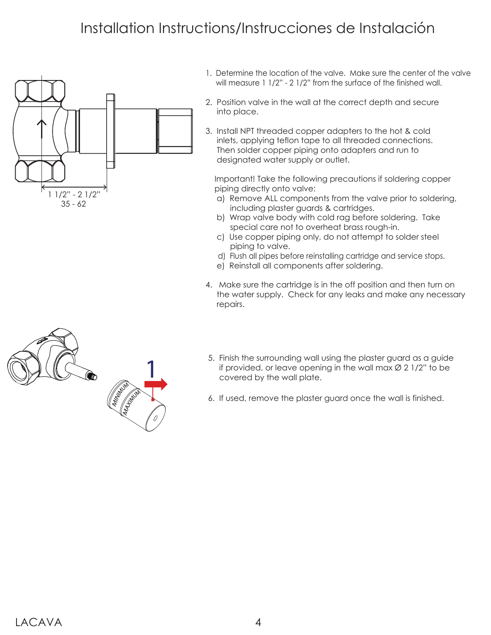### Installation Instructions/Instrucciones de Instalación



- 1. Determine the location of the valve. Make sure the center of the valve will measure 1 1/2" - 2 1/2" from the surface of the finished wall.
- 2. Position valve in the wall at the correct depth and secure into place.
- 3. Install NPT threaded copper adapters to the hot & cold inlets, applying teflon tape to all threaded connections. Then solder copper piping onto adapters and run to designated water supply or outlet.

 Important! Take the following precautions if soldering copper piping directly onto valve:

- a) Remove ALL components from the valve prior to soldering, including plaster guards & cartridges.
- b) Wrap valve body with cold rag before soldering. Take special care not to overheat brass rough-in.
- c) Use copper piping only, do not attempt to solder steel piping to valve.
- d) Flush all pipes before reinstalling cartridge and service stops.
- e) Reinstall all components after soldering.
- 4. Make sure the cartridge is in the off position and then turn on the water supply. Check for any leaks and make any necessary repairs.



- 5. Finish the surrounding wall using the plaster guard as a guide if provided, or leave opening in the wall max  $\varnothing$  2 1/2" to be covered by the wall plate.
- 6. If used, remove the plaster guard once the wall is finished.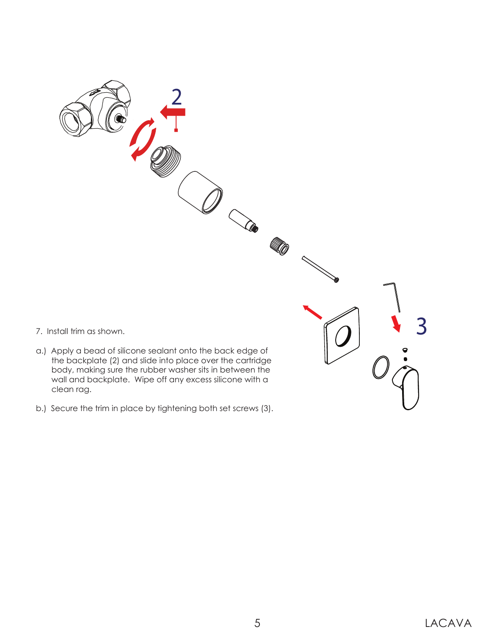

b.) Secure the trim in place by tightening both set screws (3).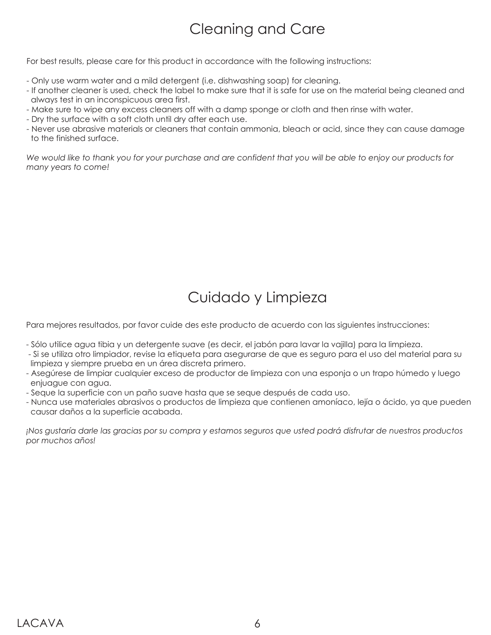### Cleaning and Care

For best results, please care for this product in accordance with the following instructions:

- Only use warm water and a mild detergent (i.e. dishwashing soap) for cleaning.
- If another cleaner is used, check the label to make sure that it is safe for use on the material being cleaned and always test in an inconspicuous area first.
- Make sure to wipe any excess cleaners off with a damp sponge or cloth and then rinse with water.
- Dry the surface with a soft cloth until dry after each use.
- Never use abrasive materials or cleaners that contain ammonia, bleach or acid, since they can cause damage to the finished surface.

*We would like to thank you for your purchase and are confident that you will be able to enjoy our products for many years to come!*

### Cuidado y Limpieza

Para mejores resultados, por favor cuide des este producto de acuerdo con las siguientes instrucciones:

- Sólo utilice agua tibia y un detergente suave (es decir, el jabón para lavar la vajilla) para la limpieza.
- Si se utiliza otro limpiador, revise la etiqueta para asegurarse de que es seguro para el uso del material para su limpieza y siempre prueba en un área discreta primero.
- Asegúrese de limpiar cualquier exceso de productor de limpieza con una esponja o un trapo húmedo y luego enjuague con agua.
- Seque la superficie con un paño suave hasta que se seque después de cada uso.
- Nunca use materiales abrasivos o productos de limpieza que contienen amoníaco, lejía o ácido, ya que pueden causar daños a la superficie acabada.

*¡Nos gustaría darle las gracias por su compra y estamos seguros que usted podrá disfrutar de nuestros productos por muchos años!*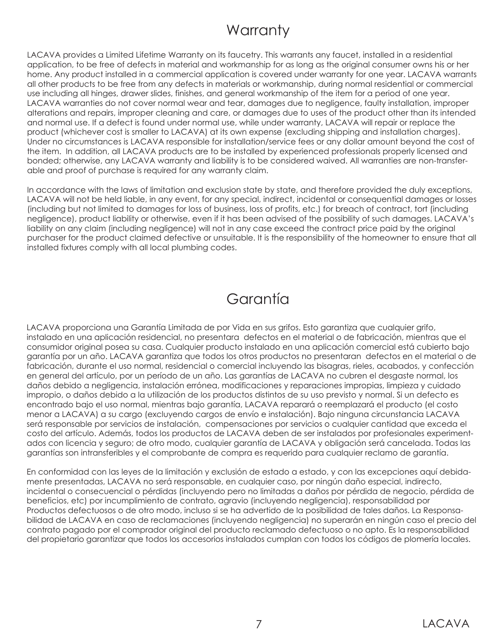### **Warranty**

LACAVA provides a Limited Lifetime Warranty on its faucetry. This warrants any faucet, installed in a residential application, to be free of defects in material and workmanship for as long as the original consumer owns his or her home. Any product installed in a commercial application is covered under warranty for one year. LACAVA warrants all other products to be free from any defects in materials or workmanship, during normal residential or commercial use including all hinges, drawer slides, finishes, and general workmanship of the item for a period of one year. LACAVA warranties do not cover normal wear and tear, damages due to negligence, faulty installation, improper alterations and repairs, improper cleaning and care, or damages due to uses of the product other than its intended and normal use. If a defect is found under normal use, while under warranty, LACAVA will repair or replace the product (whichever cost is smaller to LACAVA) at its own expense (excluding shipping and installation charges). Under no circumstances is LACAVA responsible for installation/service fees or any dollar amount beyond the cost of the item. In addition, all LACAVA products are to be installed by experienced professionals properly licensed and bonded; otherwise, any LACAVA warranty and liability is to be considered waived. All warranties are non-transferable and proof of purchase is required for any warranty claim.

In accordance with the laws of limitation and exclusion state by state, and therefore provided the duly exceptions, LACAVA will not be held liable, in any event, for any special, indirect, incidental or consequential damages or losses (including but not limited to damages for loss of business, loss of profits, etc.) for breach of contract, tort (including negligence), product liability or otherwise, even if it has been advised of the possibility of such damages. LACAVA's liability on any claim (including negligence) will not in any case exceed the contract price paid by the original purchaser for the product claimed defective or unsuitable. It is the responsibility of the homeowner to ensure that all installed fixtures comply with all local plumbing codes.

#### Garantía

LACAVA proporciona una Garantía Limitada de por Vida en sus grifos. Esto garantiza que cualquier grifo, instalado en una aplicación residencial, no presentara defectos en el material o de fabricación, mientras que el consumidor original posea su casa. Cualquier producto instalado en una aplicación comercial está cubierto bajo garantía por un año. LACAVA garantiza que todos los otros productos no presentaran defectos en el material o de fabricación, durante el uso normal, residencial o comercial incluyendo las bisagras, rieles, acabados, y confección en general del artículo, por un período de un año. Las garantías de LACAVA no cubren el desgaste normal, los daños debido a negligencia, instalación errónea, modificaciones y reparaciones impropias, limpieza y cuidado impropio, o daños debido a la utilización de los productos distintos de su uso previsto y normal. Si un defecto es encontrado bajo el uso normal, mientras bajo garantía, LACAVA reparará o reemplazará el producto (el costo menor a LACAVA) a su cargo (excluyendo cargos de envío e instalación). Bajo ninguna circunstancia LACAVA será responsable por servicios de instalación, compensaciones por servicios o cualquier cantidad que exceda el costo del artículo. Además, todos los productos de LACAVA deben de ser instalados por profesionales experimentados con licencia y seguro; de otro modo, cualquier garantía de LACAVA y obligación será cancelada. Todas las garantías son intransferibles y el comprobante de compra es requerido para cualquier reclamo de garantía.

En conformidad con las leyes de la limitación y exclusión de estado a estado, y con las excepciones aquí debidamente presentadas, LACAVA no será responsable, en cualquier caso, por ningún daño especial, indirecto, incidental o consecuencial o pérdidas (incluyendo pero no limitadas a daños por pérdida de negocio, pérdida de beneficios, etc) por incumplimiento de contrato, agravio (incluyendo negligencia), responsabilidad por Productos defectuosos o de otro modo, incluso si se ha advertido de la posibilidad de tales daños. La Responsabilidad de LACAVA en caso de reclamaciones (incluyendo negligencia) no superarán en ningún caso el precio del contrato pagado por el comprador original del producto reclamado defectuoso o no apto. Es la responsabilidad del propietario garantizar que todos los accesorios instalados cumplan con todos los códigos de plomería locales.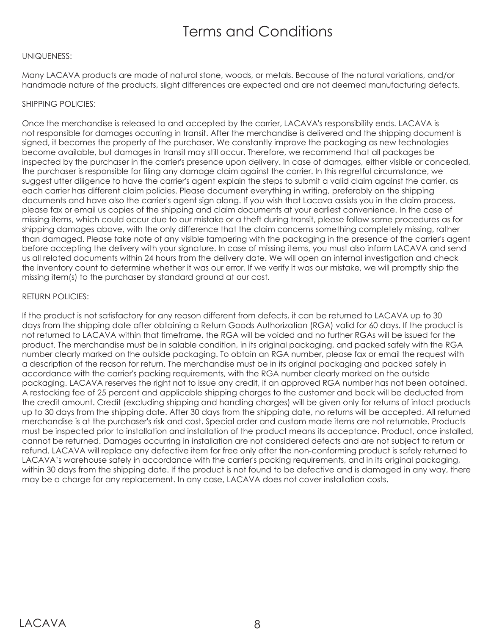### Terms and Conditions

#### UNIQUENESS:

Many LACAVA products are made of natural stone, woods, or metals. Because of the natural variations, and/or handmade nature of the products, slight differences are expected and are not deemed manufacturing defects.

#### SHIPPING POLICIES:

Once the merchandise is released to and accepted by the carrier, LACAVA's responsibility ends. LACAVA is not responsible for damages occurring in transit. After the merchandise is delivered and the shipping document is signed, it becomes the property of the purchaser. We constantly improve the packaging as new technologies become available, but damages in transit may still occur. Therefore, we recommend that all packages be inspected by the purchaser in the carrier's presence upon delivery. In case of damages, either visible or concealed, the purchaser is responsible for filing any damage claim against the carrier. In this regretful circumstance, we suggest utter diligence to have the carrier's agent explain the steps to submit a valid claim against the carrier, as each carrier has different claim policies. Please document everything in writing, preferably on the shipping documents and have also the carrier's agent sign along. If you wish that Lacava assists you in the claim process, please fax or email us copies of the shipping and claim documents at your earliest convenience. In the case of missing items, which could occur due to our mistake or a theft during transit, please follow same procedures as for shipping damages above, with the only difference that the claim concerns something completely missing, rather than damaged. Please take note of any visible tampering with the packaging in the presence of the carrier's agent before accepting the delivery with your signature. In case of missing items, you must also inform LACAVA and send us all related documents within 24 hours from the delivery date. We will open an internal investigation and check the inventory count to determine whether it was our error. If we verify it was our mistake, we will promptly ship the missing item(s) to the purchaser by standard ground at our cost.

#### RETURN POLICIES:

If the product is not satisfactory for any reason different from defects, it can be returned to LACAVA up to 30 days from the shipping date after obtaining a Return Goods Authorization (RGA) valid for 60 days. If the product is not returned to LACAVA within that timeframe, the RGA will be voided and no further RGAs will be issued for the product. The merchandise must be in salable condition, in its original packaging, and packed safely with the RGA number clearly marked on the outside packaging. To obtain an RGA number, please fax or email the request with a description of the reason for return. The merchandise must be in its original packaging and packed safely in accordance with the carrier's packing requirements, with the RGA number clearly marked on the outside packaging. LACAVA reserves the right not to issue any credit, if an approved RGA number has not been obtained. A restocking fee of 25 percent and applicable shipping charges to the customer and back will be deducted from the credit amount. Credit (excluding shipping and handling charges) will be given only for returns of intact products up to 30 days from the shipping date. After 30 days from the shipping date, no returns will be accepted. All returned merchandise is at the purchaser's risk and cost. Special order and custom made items are not returnable. Products must be inspected prior to installation and installation of the product means its acceptance. Product, once installed, cannot be returned. Damages occurring in installation are not considered defects and are not subject to return or refund. LACAVA will replace any defective item for free only after the non-conforming product is safely returned to LACAVA's warehouse safely in accordance with the carrier's packing requirements, and in its original packaging, within 30 days from the shipping date. If the product is not found to be defective and is damaged in any way, there may be a charge for any replacement. In any case, LACAVA does not cover installation costs.